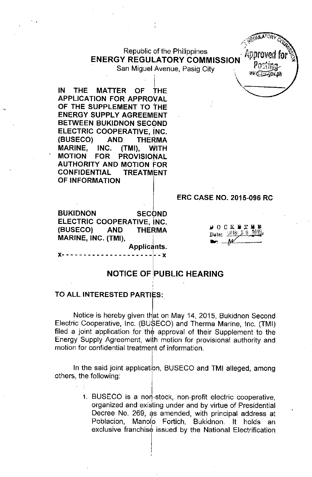# Republic of the Philippines . Approved **ENERGY REGULATORY COMMISSION**

 $\sim$  (HOULATORY  $c_{Q}$ , MS~*;,t '* "o-'r.ph

San Miguel Avenue, Pasig City

i kacamatan ing Kabupatèn Kabupatèn Kabupatèn Kabupatèn Kabupatèn Kabupatèn Kabupatèn Kabupatèn Kabupatèn Kabu IN THE MATTER OF THE APPLICATION FOR APPROVAL OF THE SUPPLEMENT TO THE ENERGY SUPPLY AGREEMENT BETWEEN BUKIDNON SECOND ELECTRIC COOPERATIVE, iNC. (BUSECO) AND THERMA MARINE, INC. (TMI), WITH<br>MOTION FOR PROVISIONAL PROVISIONAL AUTHORITY AND MOTION FOR CONFIDENTIAL TREATMENT OF INFORMATION

# ERC CASE NO. 2015-096 RC

BUKIDNON SECOND ELECTRIC COOPERATIVE, INC. (BUSECO) AND THERMA MARINE, INC. (TMI),

x- - - - - - - - - - - - - - - - - - - - - - - x

|               | . <b>.</b>            |  |
|---------------|-----------------------|--|
|               | Date: : 1111, 2.9 211 |  |
| $\mathcal{M}$ |                       |  |

# NOTICE OF PUBLIC HEARING

Applicants.

#### TO ALL INTERESTED PARTIES:

Notice is hereby given th<mark>at on May 14, 2015, Bukidnon Secon</mark>d Electric Cooperative, Inc. (BUSECO) and Therma Marine, Inc. (TMI) filed a joint application for the approval of their Supplement to the Energy Supply Agreement, with motion for provisional authority and motion for confidential treatment of information.

In the said joint application, BUSECO and TMI alleged, among others, the following:

> 1. BUSECO is a non-stock, non-profit electric cooperative, , organized and existing under and by virtue of Presidential Decree No. 269, as amended, with principal address at Poblacion, Manolo Fortich, Bukidnon. It holds an exclusive franchise issued by the National Electrification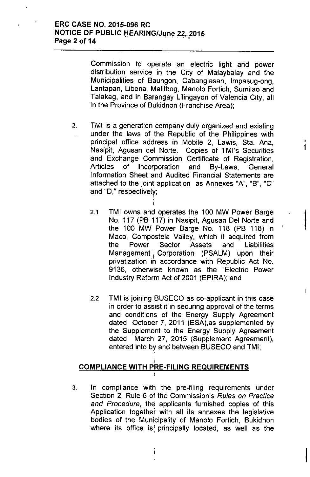Commission to operate an electric light and power distribution service in the City of Malaybalay and the Municipalities of Baungon, Cabanglasan, Impasug-ong, Lantapan, Libona, Malitbog, Manolo Fortich, Sumilao and Talakag, and in Barangay Lilingayon of Valencia City, all in the Province of Bukidnon (Franchise Area);

2. TMI is a generation company duly organized and existing under the laws of the Republic of the Philippines with principal office address in Mobile 2, Lawis, Sta. Ana, Nasipit, Agusan del Norte. Copies of TMI's Securities and Exchange Commission Certificate of Registration, Articles of Incorporation and By-Laws, General Information Sheet and Audited Financial Statements are attached to the joint application as Annexes "A", "B", "C" and "0," respectively; ,

ł.

 $\mathsf{L}$ 

,

- 2.1 TMI owns and operates the 100 MW Power Barge No. 117 (PB 117) in Nasipit, Agusan Del Norte and the 100 MW Power Barge No. 118 (PB 118) in Maco, Compostela Valley, which it acquired from the Power Sector Assets and Liabilities Management; Corporation (PSALM) upon their privatization in accordance with Republic Act No. 9136, otherwise known as the "Electric Power Industry Reform Act of 2001 (EPIRA); and
- 2.2 TMI is joining BUSECO as co-applicant in this case in order to assist it in securing approval of the terms and conditions of the Energy Supply Agreement dated October 7, 2011 (ESA),as supplemented by the Supplement to the Energy Supply Agreement dated March 27, 2015 (Supplement Agreement), entered into by and between BUSECO and TMI;

#### I <u>COMPLIANCE WITH PRE-FILING REQUIREMENT</u>  $\frac{1}{1}$

3. In compliance with the pre-filing requirements under Section 2, Rule 6 of the Commission's *Ru/es on Practice and Procedure,* the applicants furnished copies of this Application together with all its annexes the legislative bodies of the Municipality of Manolo Fortich, Bukidnon where its office is' principally located, as well as the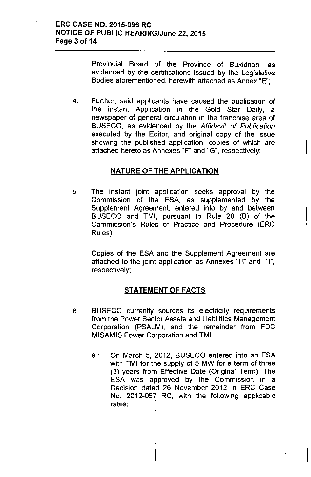Provincial Board of the Province of Bukidnon, as evidenced by the certifications issued by the Legislative Bodies aforementioned, herewith attached as Annex "E";

4. Further, said applicants have caused the publication of the instant Application in the Gold Star Daily, a newspaper of general circulation in the franchise area of BUSECO, as evidenced by the *Affidavit of Publication* executed by the Editor, and original copy of the issue showing the published application, copies of which are attached hereto as Annexes "F" and "G", respectively;

### NATURE OF THE APPLICATION

5. The instant joint application seeks approval by the Commission of the ESA, as supplemented by the Supplement Agreement, entered into by and between BUSECO and TMI, pursuant to Rule 20 (B) of the Commission's Rule's of Practice and Procedure (ERC Rules).

Copies of the ESA and the Supplement Agreement are attached to the joint application as Annexes "H" and "I", respectively;

# **STATEMENT OF FACTS**

- 6. BUSECO currently sources its electricity requirements from the Power Sector Assets and Liabilities Management Corporation (PSALM), and the remainder from FDC MISAMIS Power Corporation and TMI.
	- 6.1 On March 5, 2012, BUSECO entered into an ESA with TMI for the supply of 5 MW for a term of three (3) years from Effective Date (Original Term). The ESA was approved by the Commission in a Decision dated 26 November 2012 in ERC Case No. 2012-057 RC, with the following applicable rates:

I

 $\mathbf{I}$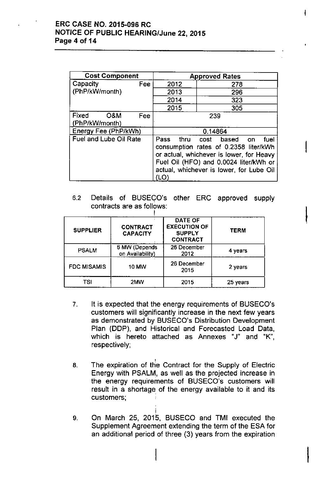## ERC CASE NO. 2015-096 RC **NOTICE OF PUBLIC HEARING/June 22, 2015** Page 4 of 14

| <b>Cost Component</b>                 | <b>Approved Rates</b>                                                                                                                                                                                                    |     |  |  |
|---------------------------------------|--------------------------------------------------------------------------------------------------------------------------------------------------------------------------------------------------------------------------|-----|--|--|
| Fee<br>Capacity                       | 2012                                                                                                                                                                                                                     | 278 |  |  |
| (PhP/kW/month)                        | 2013                                                                                                                                                                                                                     | 296 |  |  |
|                                       | 2014                                                                                                                                                                                                                     | 323 |  |  |
|                                       | 2015                                                                                                                                                                                                                     | 305 |  |  |
| Fixed<br>O&M<br>Fee<br>(PhP/kW/month) | 239                                                                                                                                                                                                                      |     |  |  |
| Energy Fee (PhP/kWh)                  | 0.14864                                                                                                                                                                                                                  |     |  |  |
| <b>Fuel and Lube Oil Rate</b>         | thru cost based<br>Pass<br>fuel<br>on<br>consumption rates of 0.2358 liter/kWh<br>or actual, whichever is lower, for Heavy<br>Fuel Oil (HFO) and 0.0024 liter/kWh or<br>actual, whichever is lower, for Lube Oil<br>(LO) |     |  |  |

6.2 Details of BUSECO's other ERC approved supply contracts are as follows:

| <b>SUPPLIER</b>    | <b>CONTRACT</b><br><b>CAPACITY</b> | <b>DATE OF</b><br><b>EXECUTION OF</b><br><b>SUPPLY</b><br><b>CONTRACT</b> | TERM     |
|--------------------|------------------------------------|---------------------------------------------------------------------------|----------|
| <b>PSALM</b>       | 6 MW (Depends<br>on Availability)  | 26 December<br>2012                                                       | 4 years  |
| <b>FDC MISAMIS</b> | <b>10 MW</b>                       | 26 December<br>2015                                                       | 2 years  |
| TSI                | 2MW                                | 2015                                                                      | 25 years |

- 7. It is expected that the energy requirements of BUSECO's customers will significantly increase in the next few years as demonstrated by BUSECO's Distribution Development Plan (DDP), and Historical and Forecasted Load Data, which is hereto attached as Annexes "J" and "K", respectively;
- , 8. The expiration of the Contract for the Supply of Electric Energy with PSALM, as well as the projected increase in the energy requirements of BUSECO's customers will result in a shortage of the energy available to it and its customers; .
- 9. On March 25, 2015, BUSECO and TMI executed the Supplement Agreement extending the term of the ESA for an additional period of three (3) years from the expiration

|<br>|<br>|

Ł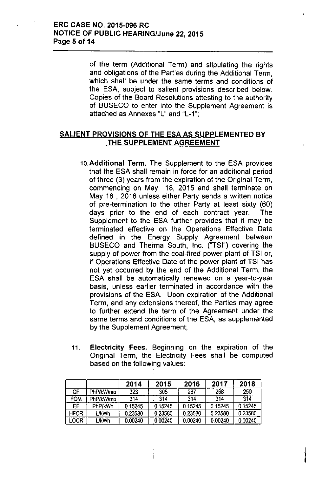of the term (Additional Term) and stipulating the rights and obligations of the Parties during the Additional Term, which shall be under the same terms and conditions of the ESA, subject to salient provisions described below. Copies of the Board Resolutions attesting to the authority of BUSECO to enter into the Supplement Agreement is attached as Annexes "L" and "L-1'",

# SALIENT PROVISIONS OF THE ESA AS SUPPLEMENTED BY THE SUPPLEMENT AGREEMENT

- 10.Additional Term. The Supplement to the ESA provides that the ESA shall remain in force for an additional period of three (3) years from the expiration of the Original Term, commencing on May 18, 2015 and shall terminate on May 18 , 2018 unless either Party sends a written notice of pre-termination to the other Party at least sixty (60) days prior to the end of each contract year. The Supplement to the ESA further provides that it may be terminated effective on the Operations Effective Date defined in the Energy Supply Agreement between BUSECO and Therma South, Inc. ("TSI") covering the supply of power from the coal-fired power plant of TSI or, if Operations Effective Date of the power plant of TSI has not yet occurred by the end of the Additional Term, the ESA shall be automatically renewed on a year-to-year basis, unless earlier terminated in accordance with the provisions of the ESA. Upon expiration of the Additional Term, and any extensions thereof, the Parties may agree to further extend the term of the Agreement under the same terms and conditions of the ESA, as supplemented by the Supplement Agreement;
- 11. Electricity Fees. Beginning on the expiration of the Original Term, the Electricity Fees shall be computed based on the following values:

I

|             |              | 2014    | 2015    | 2016    | 2017    | 2018    |
|-------------|--------------|---------|---------|---------|---------|---------|
| CF          | PhP/kW/mo    | 323     | 305     | 287     | 268     | 250     |
| <b>FOM</b>  | PhP/kW/mo    | 314     | 314     | 314     | 314     | 314     |
| EF          | PhP/kWh      | 0.15245 | 0.15245 | 0.15245 | 0.15245 | 0.15245 |
| <b>HFCR</b> | <b>L/kWh</b> | 0.23580 | 0.23580 | 0.23580 | 0.23580 | 0.23580 |
| LOCR        | L/kWh        | 0.00240 | 0.00240 | 0.00240 | 0.00240 | 0.00240 |

Ť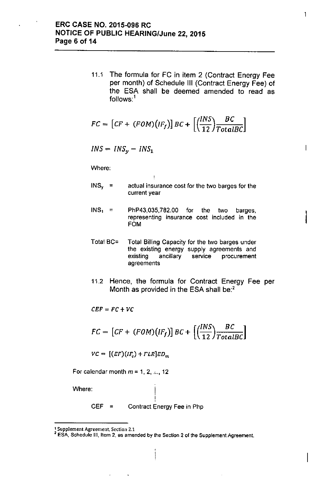11.1 The formula for FC in item 2 (Contract Energy Fee per month) of Schedule III (Contract Energy Fee) of the ESA shall be deemed amended to read as follows:<sup>1</sup>

$$
FC = [CF + (FOM)(IF_f)] BC + \left[ \left( \frac{INS}{12} \right) \frac{BC}{TotalBC} \right]
$$

$$
INS = INS_y - INS_1
$$

Where:

 $INS_{y}$  = actual insurance cost for the two barges for the current year

÷

- $INS<sub>1</sub>$  = PhP43,035,782.00 for the two barges, representing insurance cost included in the<br>FOM
- Total BC= Total Billing Capacity for the two barges under the existing energy supply agreements and existing ancillary service procurement agreements
- 11.2 Hence, the formula for Contract Energy Fee per Month as provided in the ESA shall be:<sup>2</sup>

 $CEF = FC + VC$ 

$$
FC = [CF + (FOM)(IF_f)] BC + \left[ \left( \frac{INS}{12} \right) \frac{BC}{TotalBC} \right]
$$

 $VC = \left[ (EF)(IF_v) + FLR \right] ED_m$ 

For calendar month  $m = 1, 2, ...$ , 12

Where:

 $CEF =$ Contract Energy Fee in Php

! I

 $\mathbf{I}$ 

t Supplement Agreement. Section 2.1

<sup>2</sup> Supprement Agreement, Section 2.1<br>
<sup>2</sup> ESA, Schedule III, Item 2, as amended by the Section 2 of the Supplement Agreement.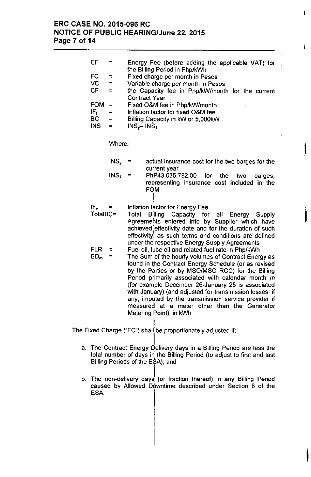### **ERC CASE NO. 2015-096 RC NOTICE OF PUBLIC HEARING/June 22,2015 Page 7 of 14**

| EF         | $=$              | Energy Fee (before adding the applicable VAT) for                                                      |    |  |
|------------|------------------|--------------------------------------------------------------------------------------------------------|----|--|
| FC         | $=$              | the Billing Period in Php/kWh<br>Fixed charge per month in Pesos                                       |    |  |
| VC         | $=$              | Variable charge per month in Pesos                                                                     |    |  |
| CF.        | $\equiv$         | the Capacity fee in Php/kW/month for the current                                                       |    |  |
|            |                  | <b>Contract Year</b>                                                                                   |    |  |
| <b>FOM</b> | Ξ                | Fixed O&M fee in Php/kW/month                                                                          |    |  |
| $IF_f$     | Ξ                | Inflation factor for fixed O&M fee                                                                     |    |  |
| <b>BC</b>  | $\equiv$         | Billing Capacity in kW or 5,000kW                                                                      |    |  |
| INS.       | $\equiv$         | $INS_{\gamma}$ - INS <sub>1</sub>                                                                      |    |  |
|            |                  |                                                                                                        |    |  |
|            |                  |                                                                                                        |    |  |
|            | Where:           |                                                                                                        |    |  |
|            |                  |                                                                                                        |    |  |
|            | $INS_{\gamma}$ = | actual insurance cost for the two barges for the                                                       |    |  |
|            |                  | current year                                                                                           |    |  |
|            | INS <sub>1</sub> | PhP43,035,782.00<br>for the<br>two<br>$\equiv$<br>barges,                                              |    |  |
|            |                  | representing insurance cost included in the                                                            |    |  |
|            |                  | FOM                                                                                                    |    |  |
|            |                  |                                                                                                        |    |  |
| $IF_v$     | $\equiv$         |                                                                                                        |    |  |
| TotalBC=   |                  | Inflation factor for Energy Fee<br>Total                                                               | ÷, |  |
|            |                  | <b>Billing</b><br>Capacity for<br>all<br>Energy Supply                                                 |    |  |
|            |                  | Agreements entered into by Supplier which have                                                         |    |  |
|            |                  | achieved effectivity date and for the duration of such                                                 |    |  |
|            |                  | effectivity, as such terms and conditions are defined                                                  |    |  |
| <b>FLR</b> |                  | under the respective Energy Supply Agreements                                                          |    |  |
|            | =<br>$\equiv$    | Fuel oil, lube oil and related fuel rate in Php/kWh                                                    |    |  |
| $ED_m$     |                  | The Sum of the hourly volumes of Contract Energy as                                                    |    |  |
|            |                  | found in the Contract Energy Schedule (or as revised                                                   |    |  |
|            |                  | by the Parties or by MSO/MSO RCC) for the Billing<br>Period primarily associated with calendar month m |    |  |
|            |                  | (for example December 26-January 25 is associated                                                      |    |  |
|            |                  | with January) (and adjusted for transmission losses, if                                                |    |  |
|            |                  |                                                                                                        |    |  |
|            |                  | any, imputed by the transmission service provider if                                                   |    |  |
|            |                  | measured at a meter other than the Generator                                                           |    |  |
|            |                  | Metering Point), in kWh                                                                                |    |  |

I

Ł

I,

 $\parallel$ 

1 The Fixed Charge ("FC") shall be proportionately adjusted if:

- l a. The Contract Energy Delivery days in a Billing Period are less the total number of days in the Billing Period (to adjust to first and last Billing Periods of the EŞA); and
- b. The non-delivery days (or fraction thereof) in any Billing Period caused by Allowed Downtime described under Section 8 of the ESA.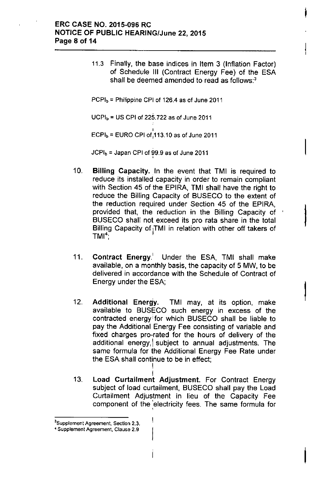### ERC CASE NO. 2015-096 RC NOTICE OF PUBLIC HEARING/June 22, 2015 Page 8 of 14

11.3 Finally, the base indices in Item 3 (Inflation Factor) of Schedule III (Contract Energy Fee) of the ESA shall be deemed amended to read as follows: $3$ 

 $PCPI<sub>b</sub>$  = Philippine CPI of 126.4 as of June 2011

 $UCPI<sub>b</sub> = US CPI of 225.722 as of June 2011$ 

.<br>|  $ECPI<sub>b</sub> = EURO CPI of<sub>1</sub>113.10 as of June 2011$ 

 $JCPI_b = Japan$  CPI of 99.9 as of June 2011

10. Billing Capacity. In the event that TMI is required to reduce its installed capacity in order to remain compliant with Section 45 of the EPIRA, TMI shall have the right to reduce the Billing Capacity of BUSECO to the extent of the reduction required under Section 45 of the EPIRA, provided that, the reduction in the Billing Capacity of BUSECO shall not exceed its pro rata share in the total Billing Capacity of TMI in relation with other off takers of  $TMI<sup>4</sup>$ ,

 $\vert$ 

I

I

- 11. Contract Energy.' Under the ESA, TMI shall make available, on a monthly basis, the capacity of 5 MW, to be delivered in accordance with the Schedule of Contract of Energy under the ESA;
- 12. Additional Energy. TMI may, at its option, make available to BUSECO such energy in excess of the contracted energy ifor which BUSECO shall be liable to pay the Additional Energy Fee consisting of variable and fixed charges pro-rated for the hours of delivery of the additional energy, subject to annual adjustments. The same formula for the Additional Energy Fee Rate under the ESA shall continue to be in effect; I
- I 13. Load Curtailment Adjustment. For Contract Energy subject of load curtailment, BUSECO shall pay the Load Curtailment Adjustment in lieu of the Capacity Fee component of the 'electricity fees. The same formula for ,

ł

<sup>&</sup>lt;sup>3</sup>Supplement Agreement, Section 2.3.

<sup>4</sup> Supplement Agreement. Clause 2.9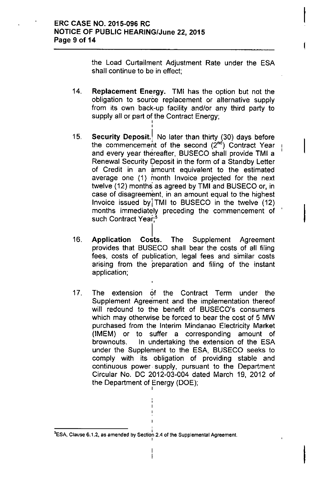the Load Curtailment Adjustment Rate under the ESA shall continue to be in effect;

I

I

14. Replacement Energy. TMI has the option but not the obligation to source replacement or alternative supply from its own back-up facility and/or any third party to supply all or part of the Contract Energy; I

- 15. Security Deposit.<sup>1</sup> No later than thirty (30) days before the commencement of the second  $(2^{nd})$  Contract Year and every year thereafter, BUSECO shall provide TMI a Renewal Security Deposit in the form of a Standby Letter of Credit in an amount equivalent to the estimated average one (1) month Invoice projected for the next twelve (12) months as agreed by TMI and BUSECO or, in case of disagreement, in an amount equal to the highest Invoice issued byj TMI to BUSECO in the twelve (12) months immediately preceding the commencement of such Contract Year:<sup>5</sup>
- Costs. 16. Application Costs. The Supplement Agreement provides that BUSECO shall bear the costs of all filing fees, costs of publication, legal fees and similar costs arising from the preparation and filing of the instant application;
- 17. The extension of the Contract Term under the Supplement Agreement and the implementation thereof will redound to the benefit of BUSECO's consumers which may otherwise be forced to bear the cost of 5 MW purchased from the Interim Mindanao Electricity Market (IMEM) or to suffer a corresponding amount of brownouts. In undertaking the extension of the ESA under the Supplement to the ESA, BUSECO seeks to comply with its obligation of providing stable and continuous power, supply, pursuant to the Department Circular No. DC 2012-03-004 dated March 19, 2012 of the Department of Energy (DOE); |<br>|

 $^5$ ESA, Clause 6.1.2, as amended by Section 2.4 of the Supplemental Agreement.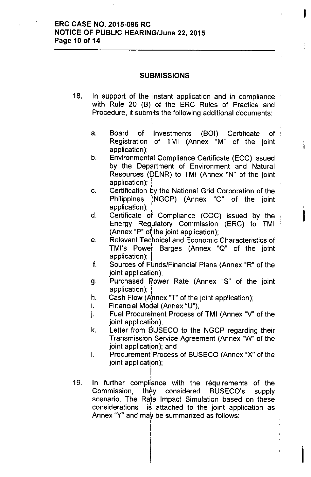### ERC CASE NO. 2015-096 RC NOTICE OF PUBLIC HEARING/June 22, 2015 Page 10 of 14

#### SUBMISSIONS

- 18. In support of the instant application and in compliance with Rule 20 (B) of the ERC Rules of Practice and Procedure, it submits the following additional documents:
	- ; a. Board of Investments (BOI) Certificate of Registration lof TMI (Annex "M" of the joint application);

I

ì.

I

- b. Environmental Compliance Certificate (ECC) issued by the Department of Environment and Natural Resources (DENR) to TMI (Annex "N" of the joint application);
- c. Certification by the National Grid Corporation of the Philippines (NGCP) (Annex "0" of the joint application);
- d. Certificate of Compliance (COC) issued by the Energy Regulatory Commission (ERC) to TMI (Annex "P" of the joint application);
- e. Relevant Technical and Economic Characteristics of TMI's Power Barges (Annex "Q" of the joint application); I
- f. Sources of Funds/Financial Plans (Annex "R" of the joint application);
- g. Purchased Power Rate (Annex "S" of the joint application); !
- h. Cash Flow (Annex "T" of the joint application);
- i. Financial Model (Annex "U");
- J. Fuel Procurement Process of TMI (Annex "V' of the joint application);
- k. Letter from BUSECO to the NGCP regarding their Transmission Service Agreement (Annex "W" of the joint application); and
- I. Procurement<sup>!</sup> Process of BUSECO (Annex "X" of the joint application);
- I 19. In further compliance with the requirements of the Commission, they considered BUSECO's supply , scenario. The Rate Impact Simulation based on these considerations is attached to the joint application as Annex "Y" and may be summarized as follows: I

|<br>|<br>!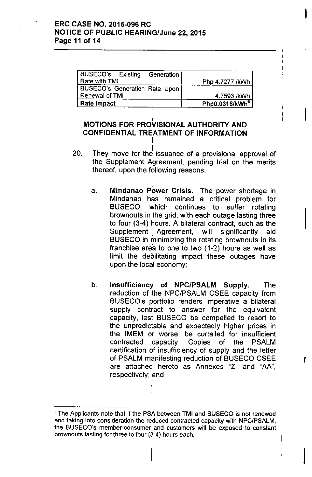| BUSECO's Existing Generation         |                            |
|--------------------------------------|----------------------------|
| l Rate with TMI                      | Php 4.7277 /kWh            |
| <b>BUSECO's Generation Rate Upon</b> |                            |
| Renewal of TMI                       | 4.7593 /kWh                |
| <b>Rate Impact</b>                   | Php0.0316/kWh <sup>6</sup> |

I

Ł

; I

 $\mathbf{I}$  $\ddot{\phantom{a}}$ 

I

**!** 

I

 $\mathsf{I}$ 

# MOTIONS FOR PROVISIONAL AUTHORITY AND CONFIDENTIAL TREATMENT OF INFORMATION

I

- 20. i They move for the issuance of a provisional approval of the Supplement Agreement, pending trial on the merits thereof, upon the following reasons:
	- a. Mindanao Power Crisis. The power shortage in Mindanao has remained a critical problem for BUSECO. which continues to suffer rotating brownouts in the grid, with each outage lasting three to four (3-4) hours. A bilateral contract, such as the Supplement Agreement, will significantly aid BUSECO in minimizing the rotating brownouts in its franchise area to one to two (1-2) hours as well as limit the debilitating impact these outages have upon the local economy;
	- b. Insufficiency of NPC/PSALM Supply. The reduction of the NPC/PSALM CSEE capacity from BUSECO's portfolio renders imperative a bilateral supply contract to answer for the equivalent capacity, lest BUSECO be compelled to resort to the unpredictable and expectedly higher prices in the IMEM o'r worse, be curtailed for insufficient contracted papacity. Copies of the PSALM certification of insufficiency of supply and the letter of PSALM manifesting reduction of BUSECO CSEE are attached hereto as Annexes "z" and "AA", respectively; and

<sup>,</sup> The Applicants note that if the PSA between TMI and BUSECO is not renewed and taking into consideration the reduced contracted capacity with NPC/PSALM, the BUSECO's member-consumer, and customers will be exposed to constant brownouts lasting for three to four (3-4) hours each.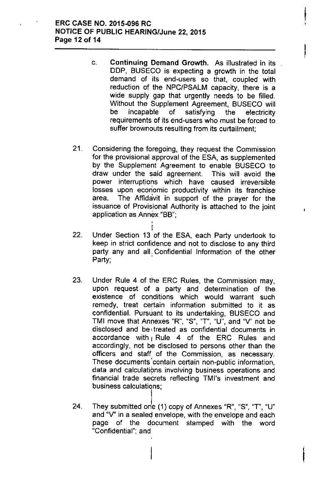# ERC CASE NO. 2015-096 RC NOTICE OF PUBLIC HEARING/June 22, 2015 Page 12 of 14

c. Continuing Demand Growth. As illustrated in its DDP, BUSECO is expecting a growth in the total demand of its end-users so that, coupled with reduction of the NPC/PSALM capacity, there is a wide supply gap that urgently needs to be filled. Without the Supplement Agreement, BUSECO will be incapable of satisfying the electricity requirements of its end-users who must be forced to suffer brownouts resulting from its curtailment;

**|**<br>!

I

- 21. Considering the foregoing, they request the Commission for the provisional approval of the ESA, as supplemented by the Supplement Agreement to enable BUSECO to draw under the said agreement. This will avoid the power interruptions which have caused irreversible losses upon economic productivity within its franchise area. The Affidavit in support of the prayer for the issuance of Provisional Authority is attached to the joint application as Annex "BB"; ;<br>|
- I 22. Under Section 13 of the ESA, each Party undertook to keep in strict confidence and not to disclose to any third party any and all. Confidential Information of the other Party;
- 23. Under Rule 4 of the ERC Rules, the Commission may, upon request of a party and determination of the existence of conditions which would warrant such remedy, treat certain information submitted to it as confidential. Pursuant to its undertaking. BUSECO and TMI move that Annexes "R", "S", "T", "U<sup>w</sup>, and "V" not be disclosed and be' treated as confidential documents in accordance with  $\beta$  Rule 4 of the ERC Rules and accordingly, not be disclosed to persons other than the officers and staff of the Commission, as necessary. These documents 'contain certain non-public information, data and calculations involving business operations and financial trade secrets reflecting TMl's investment and business calculations;
- 24. They submitted one (1) copy of Annexes "R", "S", "T", "U" and "V" in a sealed envelope, with the envelope and each page of the document stamped with the word "Confidential"; and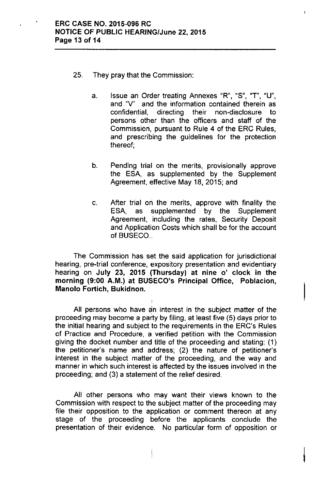- 25. They pray that the Commission:
	- a. Issue an Order treating Annexes "R", "S", "T", "U", and "V" and the information contained therein as confidential, directing their non-disclosure to persons other than the officers and staff of the Commission, pursuant to Rule 4 of the ERC Rules, and prescribing the guidelines for the protection thereof;
	- b. Pending trial on the merits, provisionally approve the ESA, as supplemented by the Supplement Agreement, effective May 18, 2015; and
	- c. After trial on the merits, approve with finality the ESA, as supplemented by the Supplement Agreement, including the rates, Security Deposit and Application Costs which shall be for the account of BUSECO...

The Commission has set the said application for jurisdictional hearing, pre-trial conference, expository presentation and evidentiary hearing on July 23, 2015 (Thursday) at nine 0' clock in the morning (9:00 A.M.) at BUSECO's Principal Office, Poblacion, Manolo Fortich, Bukidnon.

All persons who have an interest in the subject matter of the proceeding may become a party by filing, at least five (5) days prior to the initial hearing and subject to the requirements in the ERC's Rules of Practice and Procedure, a verified petition with the Commission giving the docket number and title of the proceeding and stating: (1) the petitioner's name and address; (2) the nature of petitioner's interest in the subject matter of the proceeding, and the way and manner in which such interest is affected by the issues involved in the proceeding; and (3) a statement of the relief desired.

All other persons who may want their views known to the Commission with respect to the subject matter of the proceeding may file their opposition to the application or comment thereon at any stage of the proceeding before the applicants conclude the presentation of their evidence. No particular form of opposition or